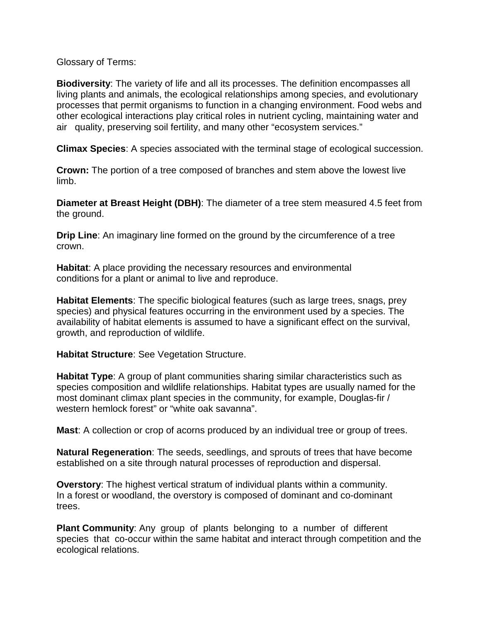Glossary of Terms:

**Biodiversity**: The variety of life and all its processes. The definition encompasses all living plants and animals, the ecological relationships among species, and evolutionary processes that permit organisms to function in a changing environment. Food webs and other ecological interactions play critical roles in nutrient cycling, maintaining water and air quality, preserving soil fertility, and many other "ecosystem services."

**Climax Species**: A species associated with the terminal stage of ecological succession.

**Crown:** The portion of a tree composed of branches and stem above the lowest live limb.

**Diameter at Breast Height (DBH)**: The diameter of a tree stem measured 4.5 feet from the ground.

**Drip Line**: An imaginary line formed on the ground by the circumference of a tree crown.

**Habitat**: A place providing the necessary resources and environmental conditions for a plant or animal to live and reproduce.

**Habitat Elements**: The specific biological features (such as large trees, snags, prey species) and physical features occurring in the environment used by a species. The availability of habitat elements is assumed to have a significant effect on the survival, growth, and reproduction of wildlife.

**Habitat Structure**: See Vegetation Structure.

**Habitat Type**: A group of plant communities sharing similar characteristics such as species composition and wildlife relationships. Habitat types are usually named for the most dominant climax plant species in the community, for example, Douglas-fir / western hemlock forest" or "white oak savanna".

**Mast**: A collection or crop of acorns produced by an individual tree or group of trees.

**Natural Regeneration**: The seeds, seedlings, and sprouts of trees that have become established on a site through natural processes of reproduction and dispersal.

**Overstory**: The highest vertical stratum of individual plants within a community. In a forest or woodland, the overstory is composed of dominant and co-dominant trees.

**Plant Community**: Any group of plants belonging to a number of different species that co-occur within the same habitat and interact through competition and the ecological relations.